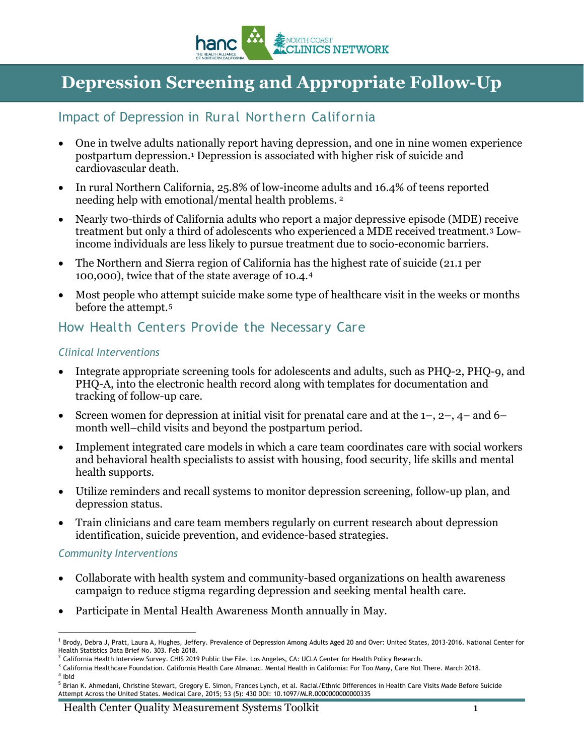

# **Depression Screening and Appropriate Follow-Up**

### Impact of Depression in Rural Northern California

- One in twelve adults nationally report having depression, and one in nine women experience postpartum depression.[1](#page-0-0) Depression is associated with higher risk of suicide and cardiovascular death.
- In rural Northern California, 25.8% of low-income adults and 16.4% of teens reported needing help with emotional/mental health problems. [2](#page-0-1)
- Nearly two-thirds of California adults who report a major depressive episode (MDE) receive treatment but only a third of adolescents who experienced a MDE received treatment[.3](#page-0-2) Lowincome individuals are less likely to pursue treatment due to socio-economic barriers.
- The Northern and Sierra region of California has the highest rate of suicide (21.1 per 100,000), twice that of the state average of 10.4.[4](#page-0-3)
- Most people who attempt suicide make some type of healthcare visit in the weeks or months before the attempt.[5](#page-0-4)

### How Health Centers Provide the Necessary Care

#### *Clinical Interventions*

- Integrate appropriate screening tools for adolescents and adults, such as PHQ-2, PHQ-9, and PHQ-A, into the electronic health record along with templates for documentation and tracking of follow-up care.
- Screen women for depression at initial visit for prenatal care and at the  $1-$ ,  $2-$ ,  $4-$  and  $6$ month well–child visits and beyond the postpartum period.
- Implement integrated care models in which a care team coordinates care with social workers and behavioral health specialists to assist with housing, food security, life skills and mental health supports.
- Utilize reminders and recall systems to monitor depression screening, follow-up plan, and depression status.
- Train clinicians and care team members regularly on current research about depression identification, suicide prevention, and evidence-based strategies.

#### *Community Interventions*

- Collaborate with health system and community-based organizations on health awareness campaign to reduce stigma regarding depression and seeking mental health care.
- Participate in Mental Health Awareness Month annually in May.

- <span id="page-0-3"></span><span id="page-0-2"></span><span id="page-0-1"></span><sup>3</sup> California Healthcare Foundation. California Health Care Almanac. Mental Health in California: For Too Many, Care Not There. March 2018.
- <sup>4</sup> Ibid

<sup>-</sup>

<span id="page-0-0"></span><sup>&</sup>lt;sup>1</sup> Brody, Debra J, Pratt, Laura A, Hughes, Jeffery. Prevalence of Depression Among Adults Aged 20 and Over: United States, 2013-2016. National Center for Health Statistics Data Brief No. 303. Feb 2018.

<sup>&</sup>lt;sup>2</sup> California Health Interview Survey. CHIS 2019 Public Use File. Los Angeles, CA: UCLA Center for Health Policy Research.

<span id="page-0-4"></span><sup>&</sup>lt;sup>5</sup> Brian K. Ahmedani, Christine Stewart, Gregory E. Simon, Frances Lynch, et al. Racial/Ethnic Differences in Health Care Visits Made Before Suicide Attempt Across the United States. Medical Care, 2015; 53 (5): 430 DOI: 10.1097/MLR.0000000000000335